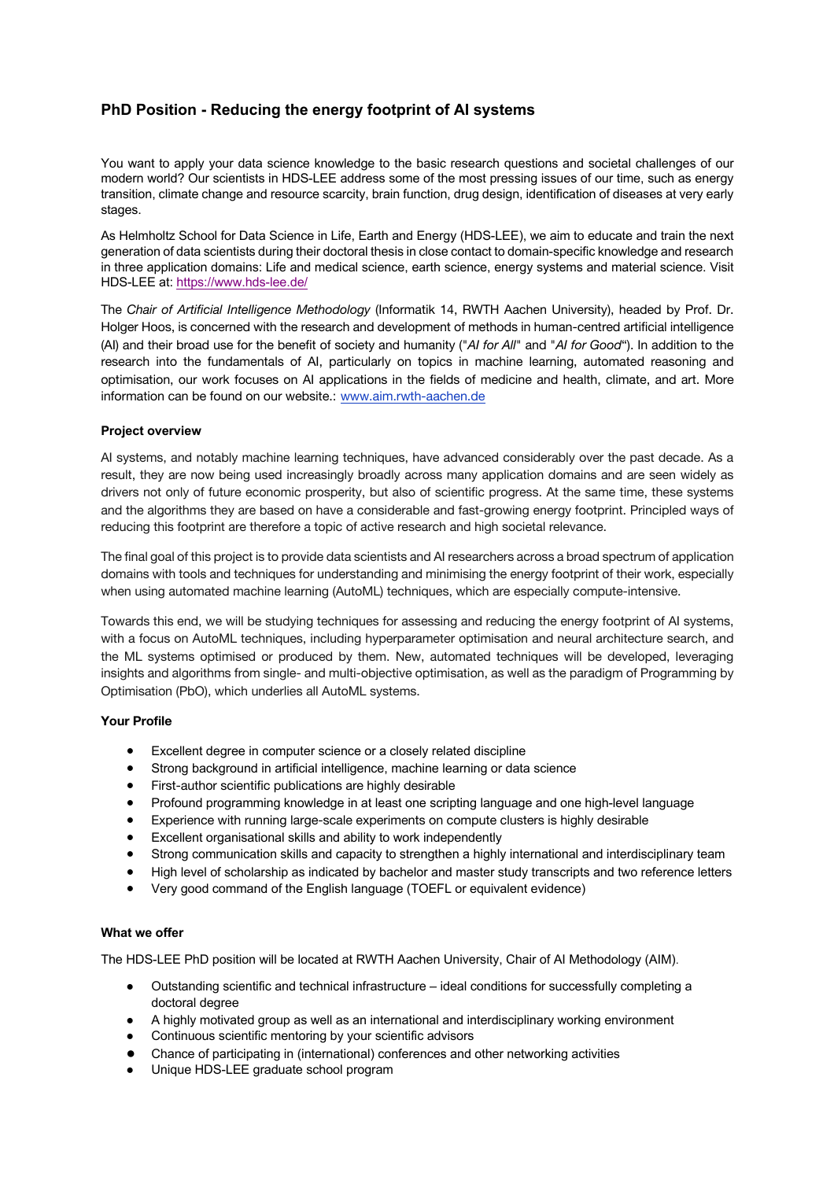# **PhD Position - Reducing the energy footprint of AI systems**

You want to apply your data science knowledge to the basic research questions and societal challenges of our modern world? Our scientists in HDS-LEE address some of the most pressing issues of our time, such as energy transition, climate change and resource scarcity, brain function, drug design, identification of diseases at very early stages.

As Helmholtz School for Data Science in Life, Earth and Energy (HDS-LEE), we aim to educate and train the next generation of data scientists during their doctoral thesis in close contact to domain-specific knowledge and research in three application domains: Life and medical science, earth science, energy systems and material science. Visit HDS-LEE at: https://www.hds-lee.de/

The *Chair of Artificial Intelligence Methodology* (Informatik 14, RWTH Aachen University), headed by Prof. Dr. Holger Hoos, is concerned with the research and development of methods in human-centred artificial intelligence (AI) and their broad use for the benefit of society and humanity ("*AI for All*" and "*AI for Good*"). In addition to the research into the fundamentals of AI, particularly on topics in machine learning, automated reasoning and optimisation, our work focuses on AI applications in the fields of medicine and health, climate, and art. More information can be found on our website.: www.aim.rwth-aachen.de

## **Project overview**

AI systems, and notably machine learning techniques, have advanced considerably over the past decade. As a result, they are now being used increasingly broadly across many application domains and are seen widely as drivers not only of future economic prosperity, but also of scientific progress. At the same time, these systems and the algorithms they are based on have a considerable and fast-growing energy footprint. Principled ways of reducing this footprint are therefore a topic of active research and high societal relevance.

The final goal of this project is to provide data scientists and AI researchers across a broad spectrum of application domains with tools and techniques for understanding and minimising the energy footprint of their work, especially when using automated machine learning (AutoML) techniques, which are especially compute-intensive.

Towards this end, we will be studying techniques for assessing and reducing the energy footprint of AI systems, with a focus on AutoML techniques, including hyperparameter optimisation and neural architecture search, and the ML systems optimised or produced by them. New, automated techniques will be developed, leveraging insights and algorithms from single- and multi-objective optimisation, as well as the paradigm of Programming by Optimisation (PbO), which underlies all AutoML systems.

### **Your Profile**

- Excellent degree in computer science or a closely related discipline
- Strong background in artificial intelligence, machine learning or data science
- First-author scientific publications are highly desirable
- Profound programming knowledge in at least one scripting language and one high-level language
- Experience with running large-scale experiments on compute clusters is highly desirable
- Excellent organisational skills and ability to work independently
- Strong communication skills and capacity to strengthen a highly international and interdisciplinary team
- High level of scholarship as indicated by bachelor and master study transcripts and two reference letters
- Very good command of the English language (TOEFL or equivalent evidence)

### **What we offer**

The HDS-LEE PhD position will be located at RWTH Aachen University, Chair of AI Methodology (AIM).

- Outstanding scientific and technical infrastructure ideal conditions for successfully completing a doctoral degree
- A highly motivated group as well as an international and interdisciplinary working environment
- Continuous scientific mentoring by your scientific advisors
- Chance of participating in (international) conferences and other networking activities
- Unique HDS-LEE graduate school program